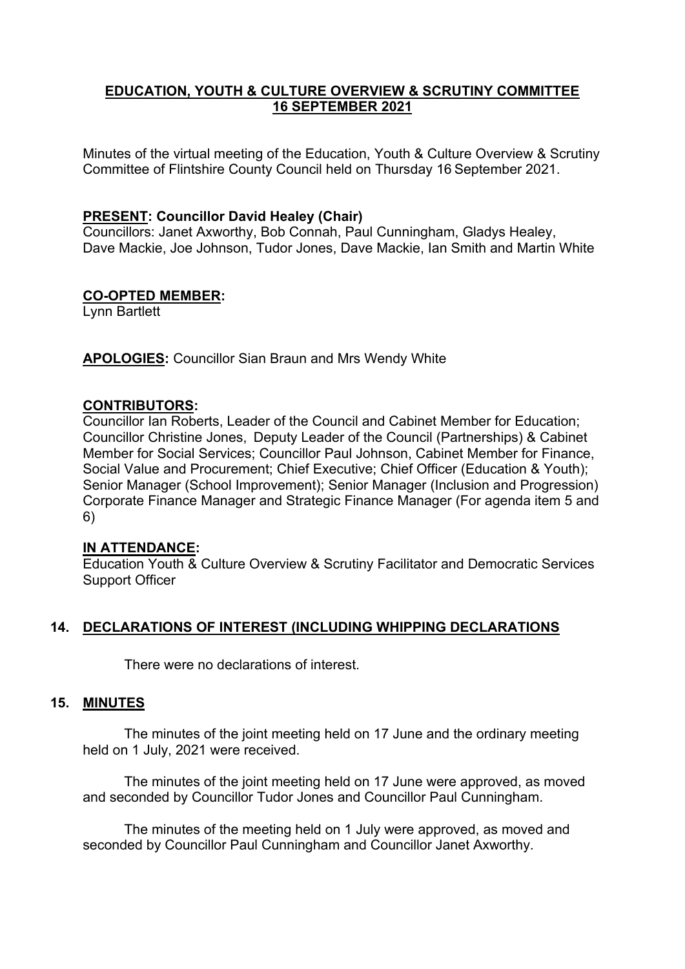## **EDUCATION, YOUTH & CULTURE OVERVIEW & SCRUTINY COMMITTEE 16 SEPTEMBER 2021**

Minutes of the virtual meeting of the Education, Youth & Culture Overview & Scrutiny Committee of Flintshire County Council held on Thursday 16 September 2021.

## **PRESENT: Councillor David Healey (Chair)**

Councillors: Janet Axworthy, Bob Connah, Paul Cunningham, Gladys Healey, Dave Mackie, Joe Johnson, Tudor Jones, Dave Mackie, Ian Smith and Martin White

## **CO-OPTED MEMBER:**

Lynn Bartlett

**APOLOGIES:** Councillor Sian Braun and Mrs Wendy White

### **CONTRIBUTORS:**

Councillor Ian Roberts, Leader of the Council and Cabinet Member for Education; Councillor Christine Jones, Deputy Leader of the Council (Partnerships) & Cabinet Member for Social Services; Councillor Paul Johnson, Cabinet Member for Finance, Social Value and Procurement; Chief Executive; Chief Officer (Education & Youth); Senior Manager (School Improvement); Senior Manager (Inclusion and Progression) Corporate Finance Manager and Strategic Finance Manager (For agenda item 5 and 6)

### **IN ATTENDANCE:**

Education Youth & Culture Overview & Scrutiny Facilitator and Democratic Services Support Officer

# **14. DECLARATIONS OF INTEREST (INCLUDING WHIPPING DECLARATIONS**

There were no declarations of interest.

### **15. MINUTES**

The minutes of the joint meeting held on 17 June and the ordinary meeting held on 1 July, 2021 were received.

The minutes of the joint meeting held on 17 June were approved, as moved and seconded by Councillor Tudor Jones and Councillor Paul Cunningham.

The minutes of the meeting held on 1 July were approved, as moved and seconded by Councillor Paul Cunningham and Councillor Janet Axworthy.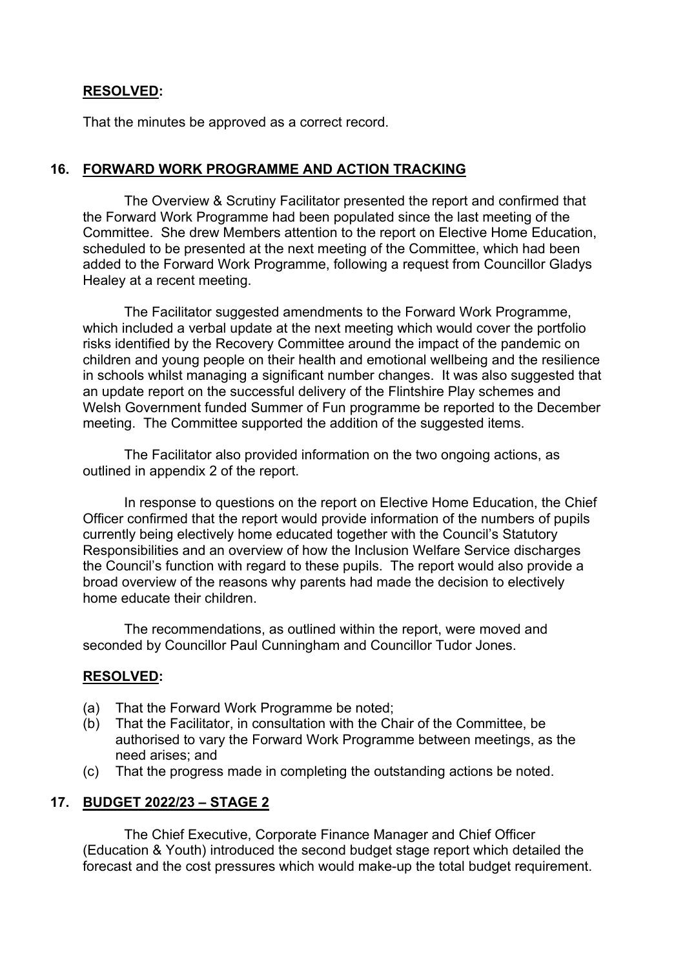## **RESOLVED:**

That the minutes be approved as a correct record.

## **16. FORWARD WORK PROGRAMME AND ACTION TRACKING**

The Overview & Scrutiny Facilitator presented the report and confirmed that the Forward Work Programme had been populated since the last meeting of the Committee. She drew Members attention to the report on Elective Home Education, scheduled to be presented at the next meeting of the Committee, which had been added to the Forward Work Programme, following a request from Councillor Gladys Healey at a recent meeting.

The Facilitator suggested amendments to the Forward Work Programme, which included a verbal update at the next meeting which would cover the portfolio risks identified by the Recovery Committee around the impact of the pandemic on children and young people on their health and emotional wellbeing and the resilience in schools whilst managing a significant number changes. It was also suggested that an update report on the successful delivery of the Flintshire Play schemes and Welsh Government funded Summer of Fun programme be reported to the December meeting. The Committee supported the addition of the suggested items.

The Facilitator also provided information on the two ongoing actions, as outlined in appendix 2 of the report.

In response to questions on the report on Elective Home Education, the Chief Officer confirmed that the report would provide information of the numbers of pupils currently being electively home educated together with the Council's Statutory Responsibilities and an overview of how the Inclusion Welfare Service discharges the Council's function with regard to these pupils. The report would also provide a broad overview of the reasons why parents had made the decision to electively home educate their children.

The recommendations, as outlined within the report, were moved and seconded by Councillor Paul Cunningham and Councillor Tudor Jones.

### **RESOLVED:**

- (a) That the Forward Work Programme be noted;
- (b) That the Facilitator, in consultation with the Chair of the Committee, be authorised to vary the Forward Work Programme between meetings, as the need arises; and
- (c) That the progress made in completing the outstanding actions be noted.

### **17. BUDGET 2022/23 – STAGE 2**

The Chief Executive, Corporate Finance Manager and Chief Officer (Education & Youth) introduced the second budget stage report which detailed the forecast and the cost pressures which would make-up the total budget requirement.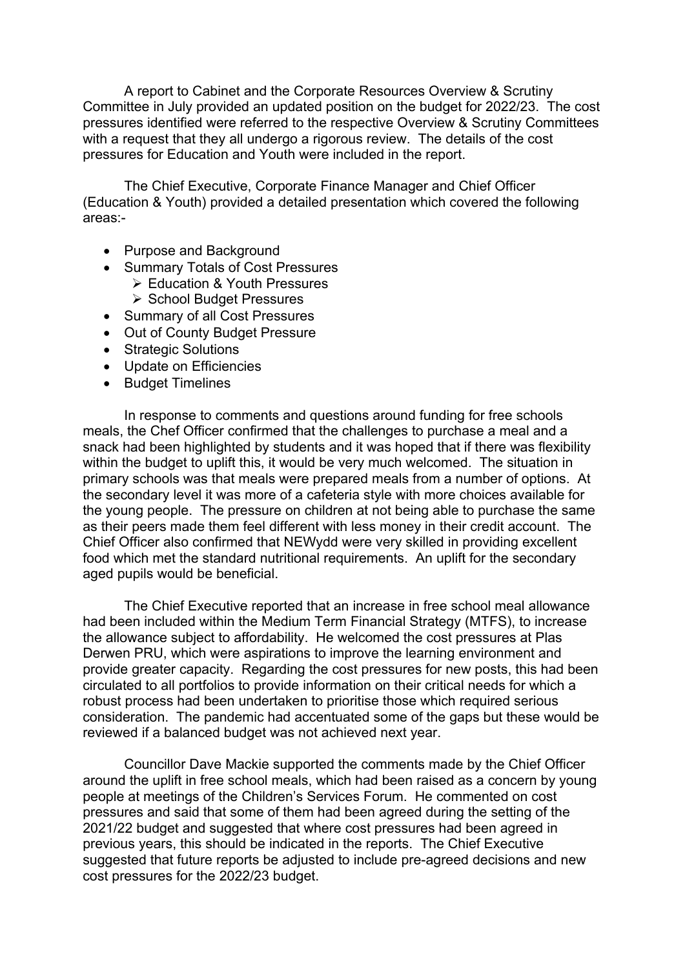A report to Cabinet and the Corporate Resources Overview & Scrutiny Committee in July provided an updated position on the budget for 2022/23. The cost pressures identified were referred to the respective Overview & Scrutiny Committees with a request that they all undergo a rigorous review. The details of the cost pressures for Education and Youth were included in the report.

The Chief Executive, Corporate Finance Manager and Chief Officer (Education & Youth) provided a detailed presentation which covered the following areas:-

- Purpose and Background
- Summary Totals of Cost Pressures
	- Education & Youth Pressures
	- ▶ School Budget Pressures
- Summary of all Cost Pressures
- Out of County Budget Pressure
- Strategic Solutions
- Update on Efficiencies
- Budget Timelines

In response to comments and questions around funding for free schools meals, the Chef Officer confirmed that the challenges to purchase a meal and a snack had been highlighted by students and it was hoped that if there was flexibility within the budget to uplift this, it would be very much welcomed. The situation in primary schools was that meals were prepared meals from a number of options. At the secondary level it was more of a cafeteria style with more choices available for the young people. The pressure on children at not being able to purchase the same as their peers made them feel different with less money in their credit account. The Chief Officer also confirmed that NEWydd were very skilled in providing excellent food which met the standard nutritional requirements. An uplift for the secondary aged pupils would be beneficial.

The Chief Executive reported that an increase in free school meal allowance had been included within the Medium Term Financial Strategy (MTFS), to increase the allowance subject to affordability. He welcomed the cost pressures at Plas Derwen PRU, which were aspirations to improve the learning environment and provide greater capacity. Regarding the cost pressures for new posts, this had been circulated to all portfolios to provide information on their critical needs for which a robust process had been undertaken to prioritise those which required serious consideration. The pandemic had accentuated some of the gaps but these would be reviewed if a balanced budget was not achieved next year.

Councillor Dave Mackie supported the comments made by the Chief Officer around the uplift in free school meals, which had been raised as a concern by young people at meetings of the Children's Services Forum. He commented on cost pressures and said that some of them had been agreed during the setting of the 2021/22 budget and suggested that where cost pressures had been agreed in previous years, this should be indicated in the reports. The Chief Executive suggested that future reports be adjusted to include pre-agreed decisions and new cost pressures for the 2022/23 budget.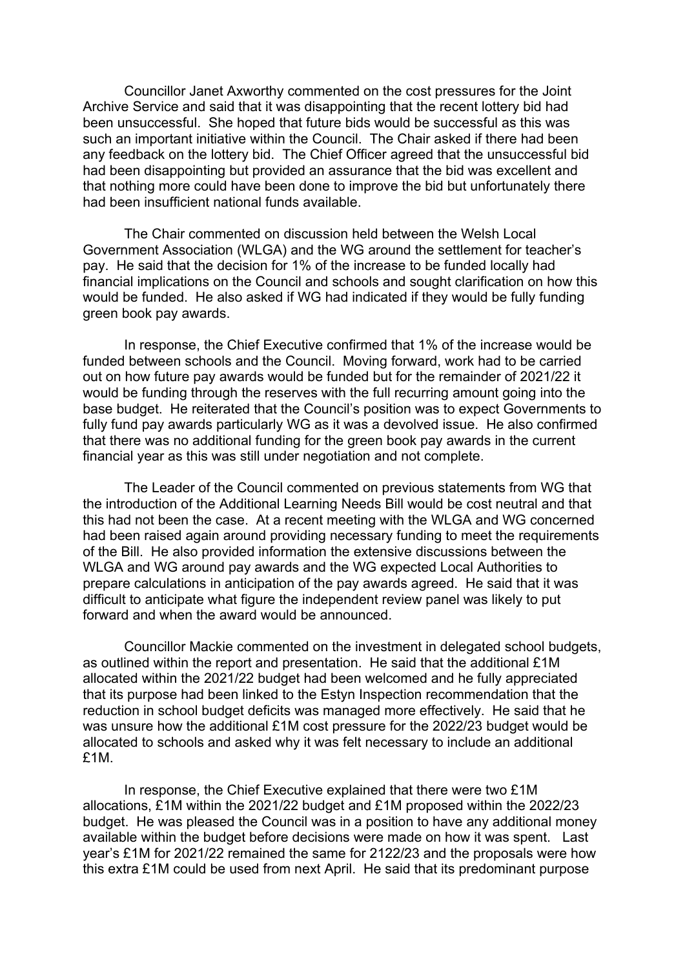Councillor Janet Axworthy commented on the cost pressures for the Joint Archive Service and said that it was disappointing that the recent lottery bid had been unsuccessful. She hoped that future bids would be successful as this was such an important initiative within the Council. The Chair asked if there had been any feedback on the lottery bid. The Chief Officer agreed that the unsuccessful bid had been disappointing but provided an assurance that the bid was excellent and that nothing more could have been done to improve the bid but unfortunately there had been insufficient national funds available.

The Chair commented on discussion held between the Welsh Local Government Association (WLGA) and the WG around the settlement for teacher's pay. He said that the decision for 1% of the increase to be funded locally had financial implications on the Council and schools and sought clarification on how this would be funded. He also asked if WG had indicated if they would be fully funding green book pay awards.

In response, the Chief Executive confirmed that 1% of the increase would be funded between schools and the Council. Moving forward, work had to be carried out on how future pay awards would be funded but for the remainder of 2021/22 it would be funding through the reserves with the full recurring amount going into the base budget. He reiterated that the Council's position was to expect Governments to fully fund pay awards particularly WG as it was a devolved issue. He also confirmed that there was no additional funding for the green book pay awards in the current financial year as this was still under negotiation and not complete.

The Leader of the Council commented on previous statements from WG that the introduction of the Additional Learning Needs Bill would be cost neutral and that this had not been the case. At a recent meeting with the WLGA and WG concerned had been raised again around providing necessary funding to meet the requirements of the Bill. He also provided information the extensive discussions between the WLGA and WG around pay awards and the WG expected Local Authorities to prepare calculations in anticipation of the pay awards agreed. He said that it was difficult to anticipate what figure the independent review panel was likely to put forward and when the award would be announced.

Councillor Mackie commented on the investment in delegated school budgets, as outlined within the report and presentation. He said that the additional £1M allocated within the 2021/22 budget had been welcomed and he fully appreciated that its purpose had been linked to the Estyn Inspection recommendation that the reduction in school budget deficits was managed more effectively. He said that he was unsure how the additional £1M cost pressure for the 2022/23 budget would be allocated to schools and asked why it was felt necessary to include an additional £1M.

In response, the Chief Executive explained that there were two £1M allocations, £1M within the 2021/22 budget and £1M proposed within the 2022/23 budget. He was pleased the Council was in a position to have any additional money available within the budget before decisions were made on how it was spent. Last year's £1M for 2021/22 remained the same for 2122/23 and the proposals were how this extra £1M could be used from next April. He said that its predominant purpose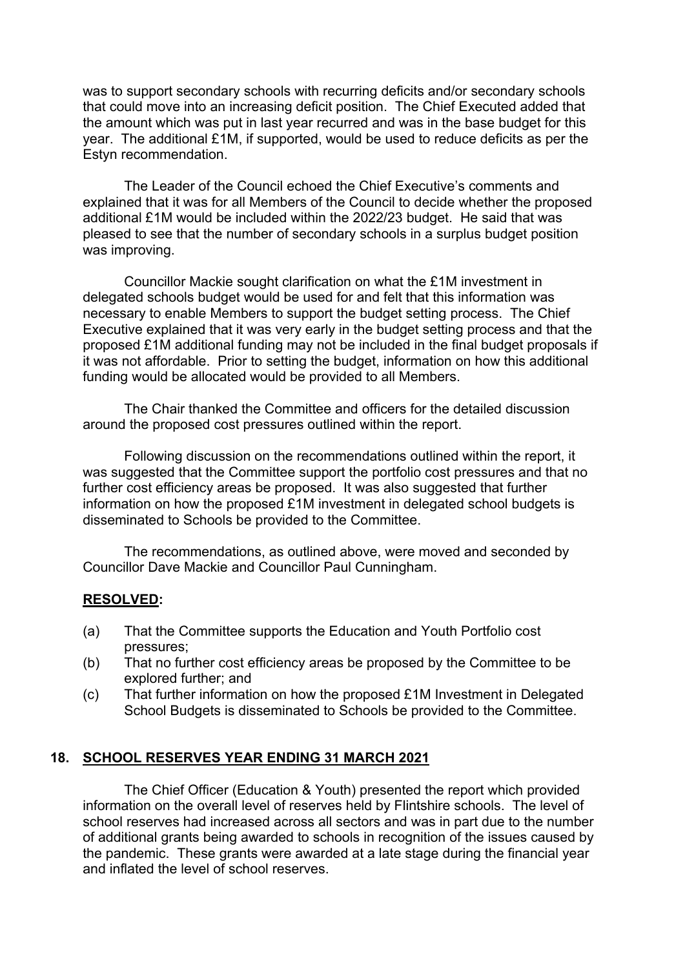was to support secondary schools with recurring deficits and/or secondary schools that could move into an increasing deficit position. The Chief Executed added that the amount which was put in last year recurred and was in the base budget for this year. The additional £1M, if supported, would be used to reduce deficits as per the Estyn recommendation.

The Leader of the Council echoed the Chief Executive's comments and explained that it was for all Members of the Council to decide whether the proposed additional £1M would be included within the 2022/23 budget. He said that was pleased to see that the number of secondary schools in a surplus budget position was improving.

Councillor Mackie sought clarification on what the £1M investment in delegated schools budget would be used for and felt that this information was necessary to enable Members to support the budget setting process. The Chief Executive explained that it was very early in the budget setting process and that the proposed £1M additional funding may not be included in the final budget proposals if it was not affordable. Prior to setting the budget, information on how this additional funding would be allocated would be provided to all Members.

The Chair thanked the Committee and officers for the detailed discussion around the proposed cost pressures outlined within the report.

Following discussion on the recommendations outlined within the report, it was suggested that the Committee support the portfolio cost pressures and that no further cost efficiency areas be proposed. It was also suggested that further information on how the proposed £1M investment in delegated school budgets is disseminated to Schools be provided to the Committee.

The recommendations, as outlined above, were moved and seconded by Councillor Dave Mackie and Councillor Paul Cunningham.

### **RESOLVED:**

- (a) That the Committee supports the Education and Youth Portfolio cost pressures;
- (b) That no further cost efficiency areas be proposed by the Committee to be explored further; and
- (c) That further information on how the proposed £1M Investment in Delegated School Budgets is disseminated to Schools be provided to the Committee.

# **18. SCHOOL RESERVES YEAR ENDING 31 MARCH 2021**

The Chief Officer (Education & Youth) presented the report which provided information on the overall level of reserves held by Flintshire schools. The level of school reserves had increased across all sectors and was in part due to the number of additional grants being awarded to schools in recognition of the issues caused by the pandemic. These grants were awarded at a late stage during the financial year and inflated the level of school reserves.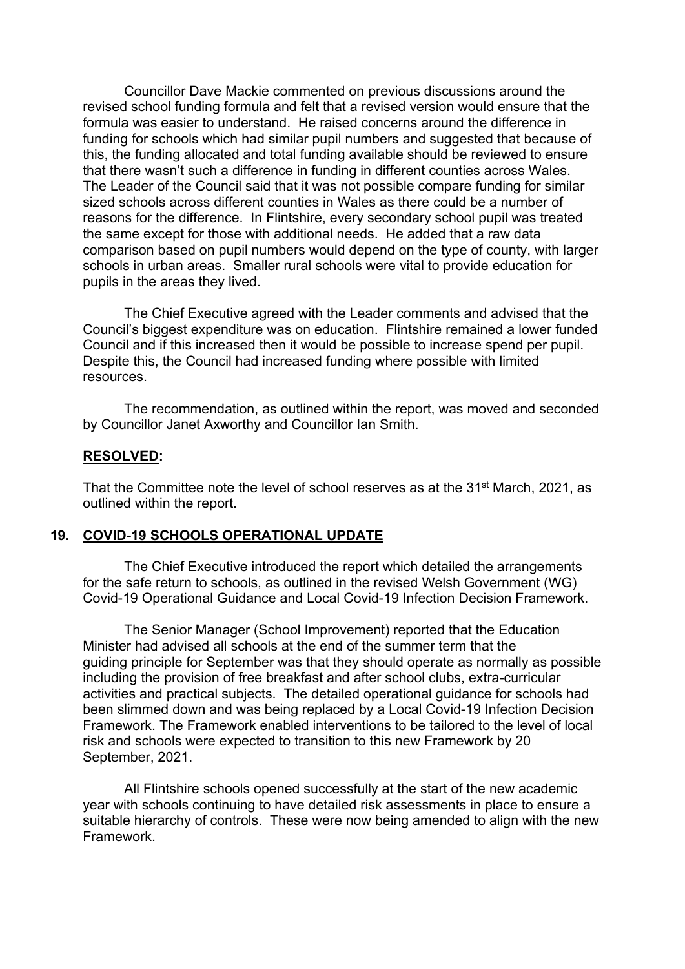Councillor Dave Mackie commented on previous discussions around the revised school funding formula and felt that a revised version would ensure that the formula was easier to understand. He raised concerns around the difference in funding for schools which had similar pupil numbers and suggested that because of this, the funding allocated and total funding available should be reviewed to ensure that there wasn't such a difference in funding in different counties across Wales. The Leader of the Council said that it was not possible compare funding for similar sized schools across different counties in Wales as there could be a number of reasons for the difference. In Flintshire, every secondary school pupil was treated the same except for those with additional needs. He added that a raw data comparison based on pupil numbers would depend on the type of county, with larger schools in urban areas. Smaller rural schools were vital to provide education for pupils in the areas they lived.

The Chief Executive agreed with the Leader comments and advised that the Council's biggest expenditure was on education. Flintshire remained a lower funded Council and if this increased then it would be possible to increase spend per pupil. Despite this, the Council had increased funding where possible with limited resources.

The recommendation, as outlined within the report, was moved and seconded by Councillor Janet Axworthy and Councillor Ian Smith.

#### **RESOLVED:**

That the Committee note the level of school reserves as at the 31st March, 2021, as outlined within the report.

#### **19. COVID-19 SCHOOLS OPERATIONAL UPDATE**

The Chief Executive introduced the report which detailed the arrangements for the safe return to schools, as outlined in the revised Welsh Government (WG) Covid-19 Operational Guidance and Local Covid-19 Infection Decision Framework.

The Senior Manager (School Improvement) reported that the Education Minister had advised all schools at the end of the summer term that the guiding principle for September was that they should operate as normally as possible including the provision of free breakfast and after school clubs, extra-curricular activities and practical subjects. The detailed operational guidance for schools had been slimmed down and was being replaced by a Local Covid-19 Infection Decision Framework. The Framework enabled interventions to be tailored to the level of local risk and schools were expected to transition to this new Framework by 20 September, 2021.

All Flintshire schools opened successfully at the start of the new academic year with schools continuing to have detailed risk assessments in place to ensure a suitable hierarchy of controls. These were now being amended to align with the new Framework.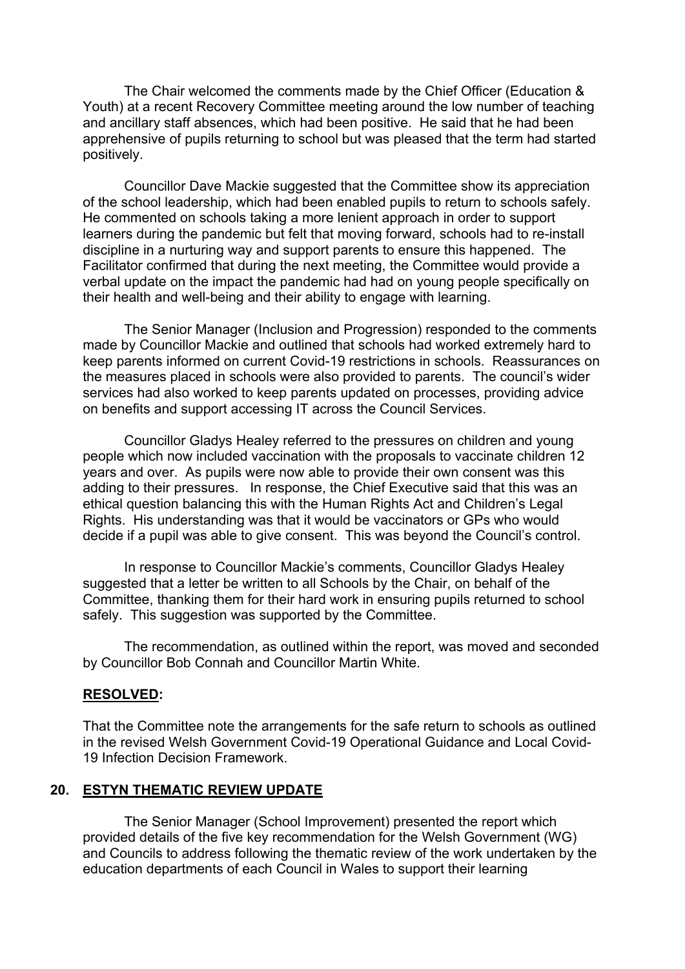The Chair welcomed the comments made by the Chief Officer (Education & Youth) at a recent Recovery Committee meeting around the low number of teaching and ancillary staff absences, which had been positive. He said that he had been apprehensive of pupils returning to school but was pleased that the term had started positively.

Councillor Dave Mackie suggested that the Committee show its appreciation of the school leadership, which had been enabled pupils to return to schools safely. He commented on schools taking a more lenient approach in order to support learners during the pandemic but felt that moving forward, schools had to re-install discipline in a nurturing way and support parents to ensure this happened. The Facilitator confirmed that during the next meeting, the Committee would provide a verbal update on the impact the pandemic had had on young people specifically on their health and well-being and their ability to engage with learning.

The Senior Manager (Inclusion and Progression) responded to the comments made by Councillor Mackie and outlined that schools had worked extremely hard to keep parents informed on current Covid-19 restrictions in schools. Reassurances on the measures placed in schools were also provided to parents. The council's wider services had also worked to keep parents updated on processes, providing advice on benefits and support accessing IT across the Council Services.

Councillor Gladys Healey referred to the pressures on children and young people which now included vaccination with the proposals to vaccinate children 12 years and over. As pupils were now able to provide their own consent was this adding to their pressures. In response, the Chief Executive said that this was an ethical question balancing this with the Human Rights Act and Children's Legal Rights. His understanding was that it would be vaccinators or GPs who would decide if a pupil was able to give consent. This was beyond the Council's control.

In response to Councillor Mackie's comments, Councillor Gladys Healey suggested that a letter be written to all Schools by the Chair, on behalf of the Committee, thanking them for their hard work in ensuring pupils returned to school safely. This suggestion was supported by the Committee.

The recommendation, as outlined within the report, was moved and seconded by Councillor Bob Connah and Councillor Martin White.

#### **RESOLVED:**

That the Committee note the arrangements for the safe return to schools as outlined in the revised Welsh Government Covid-19 Operational Guidance and Local Covid-19 Infection Decision Framework.

#### **20. ESTYN THEMATIC REVIEW UPDATE**

The Senior Manager (School Improvement) presented the report which provided details of the five key recommendation for the Welsh Government (WG) and Councils to address following the thematic review of the work undertaken by the education departments of each Council in Wales to support their learning